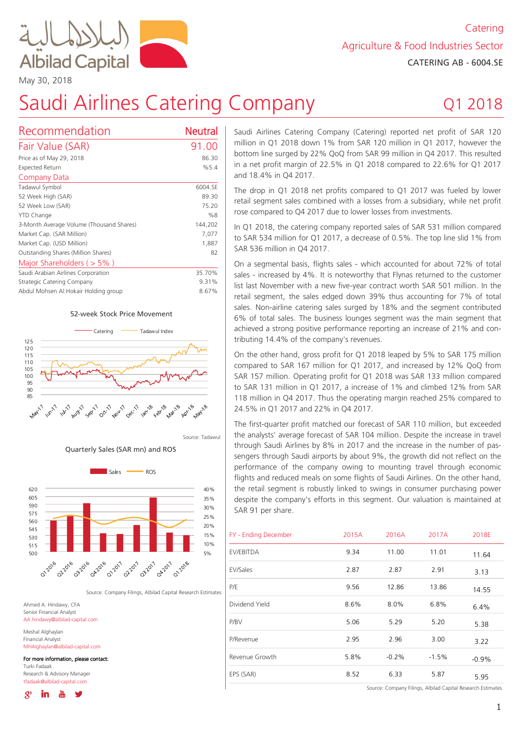

May 30, 2018

# Saudi Airlines Catering Company

## Q1 2018

| Recommendation                           | Neutral |
|------------------------------------------|---------|
| Fair Value (SAR)                         | 91.00   |
| Price as of May 29, 2018                 | 86.30   |
| Expected Return                          | %5.4    |
| Company Data                             |         |
| Tadawul Symbol                           | 6004.SE |
| 52 Week High (SAR)                       | 89.30   |
| 52 Week Low (SAR)                        | 75.20   |
| <b>YTD Change</b>                        | %8      |
| 3-Month Average Volume (Thousand Shares) | 144,202 |
| Market Cap. (SAR Million)                | 7,077   |
| Market Cap. (USD Million)                | 1,887   |
| Outstanding Shares (Million Shares)      | 82      |
| Major Shareholders ( $>$ 5%)             |         |
| Saudi Arabian Airlines Corporation       | 35.70%  |
| Strategic Catering Company               | 9.31%   |
| Abdul Mohsen Al Hokair Holding group     | 8.67%   |

#### 52-week Stock Price Movement



Source: Tadawul

Quarterly Sales (SAR mn) and ROS



Source: Company Filings, Albilad Capital Research Estimates

Ahmed A. Hindawy, CFA Senior Financial Analyst AA.hindawy@albilad-capital.com

Meshal Alghaylan Financial Analyst MHAlghaylan@albilad-capital.com

For more information, please contact:

Turki Fadaak Research & Advisory Manager tfadaak@albilad-capital.com

δł

Saudi Airlines Catering Company (Catering) reported net profit of SAR 120 million in Q1 2018 down 1% from SAR 120 million in Q1 2017, however the bottom line surged by 22% QoQ from SAR 99 million in Q4 2017. This resulted in a net profit margin of 22.5% in Q1 2018 compared to 22.6% for Q1 2017 and 18.4% in Q4 2017.

The drop in Q1 2018 net profits compared to Q1 2017 was fueled by lower retail segment sales combined with a losses from a subsidiary, while net profit rose compared to O4 2017 due to lower losses from investments.

In Q1 2018, the catering company reported sales of SAR 531 million compared to SAR 534 million for Q1 2017, a decrease of 0.5%. The top line slid 1% from SAR 536 million in O4 2017.

On a segmental basis, flights sales - which accounted for about 72% of total sales - increased by 4%. It is noteworthy that Flynas returned to the customer list last November with a new five-year contract worth SAR 501 million. In the retail segment, the sales edged down 30% thus accounting for 7% of total sales. Non-airline catering sales surged by 18% and the segment contributed 3% of total sales. The business lounges segment was the main segment that achieved a strong positive performance reporting an increase of 21% and contributing 14.4% of the company's revenues.

On the other hand, gross profit for Q1 2018 leaped by 5% to SAR 175 million compared to SAR 167 million for Q1 2017, and increased by 12% QoQ from SAR 157 million. Operating profit for Q1 2018 was SAR 133 million compared to SAR 131 million in Q1 2017, a increase of 1% and climbed 12% from SAR 118 million in Q4 2017. Thus the operating margin reached 25% compared to 24.5% in Q1 2017 and 22% in Q4 2017.

The first-quarter profit matched our forecast of SAR 110 million, but exceeded the analysts' average forecast of SAR 104 million. Despite the increase in travel through Saudi Airlines by 8% in 2017 and the increase in the number of passengers through Saudi airports by about 0%, the growth did not reflect on the performance of the company owing to mounting travel through economic flights and reduced meals on some flights of Saudi Airlines. On the other hand, the retail segment is robustly linked to swings in consumer purchasing power despite the company's efforts in this segment. Our valuation is maintained at SAR 91 per share.

| FY - Ending December | 2015A | 2016A   | 2017A   | 2018E   |
|----------------------|-------|---------|---------|---------|
| EV/EBITDA            | 9.34  | 11.00   | 11.01   | 11.64   |
| EV/Sales             | 2.87  | 2.87    | 2.91    | 3.13    |
| P/E                  | 9.56  | 12.86   | 13.86   | 14.55   |
| Dividend Yield       | 8.6%  | $8.0\%$ | 6.8%    | 6.4%    |
| P/BV                 | 5.06  | 5.29    | 5.20    | 5.38    |
| P/Revenue            | 2.95  | 2.96    | 3.00    | 3.22    |
| Revenue Growth       | 5.8%  | $-0.2%$ | $-1.5%$ | $-0.9%$ |
| EPS (SAR)            | 8.52  | 6.33    | 5.87    | 5.95    |

Source: Company Filings, Albilad Capital Research Estimates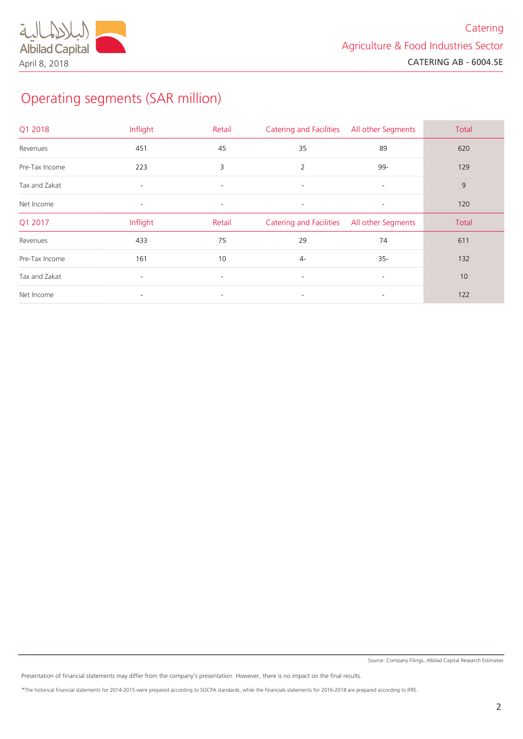## Operating segments (SAR million)

| Q1 2018        | Inflight                 | Retail                   | <b>Catering and Facilities</b> | All other Segments       | Total |
|----------------|--------------------------|--------------------------|--------------------------------|--------------------------|-------|
| Revenues       | 451                      | 45                       | 35                             | 89                       | 620   |
| Pre-Tax Income | 223                      | 3                        | $\overline{2}$                 | 99-                      | 129   |
| Tax and Zakat  | $\overline{\phantom{a}}$ | $\sim$                   | $\overline{\phantom{a}}$       | $\sim$                   | 9     |
| Net Income     | $\overline{\phantom{a}}$ | $\overline{\phantom{a}}$ | $\overline{\phantom{a}}$       | $\sim$                   | 120   |
| Q1 2017        | Inflight                 | Retail                   | <b>Catering and Facilities</b> | All other Segments       | Total |
| Revenues       | 433                      | 75                       | 29                             | 74                       | 611   |
| Pre-Tax Income | 161                      | 10                       | $4-$                           | $35 -$                   | 132   |
| Tax and Zakat  | $\overline{\phantom{a}}$ | $\sim$                   | $\overline{\phantom{a}}$       | $\overline{\phantom{0}}$ | 10    |
| Net Income     | $\overline{\phantom{a}}$ | $\overline{\phantom{a}}$ | $\overline{\phantom{a}}$       | $\sim$                   | 122   |

Presentation of financial statements may differ from the company's presentation. However, there is no impact on the final results.

\*The historical financial statements for 2015-2014 were prepared according to SOCPA standards, while the financials statements for 2013-2018 are prepared according to IFRS.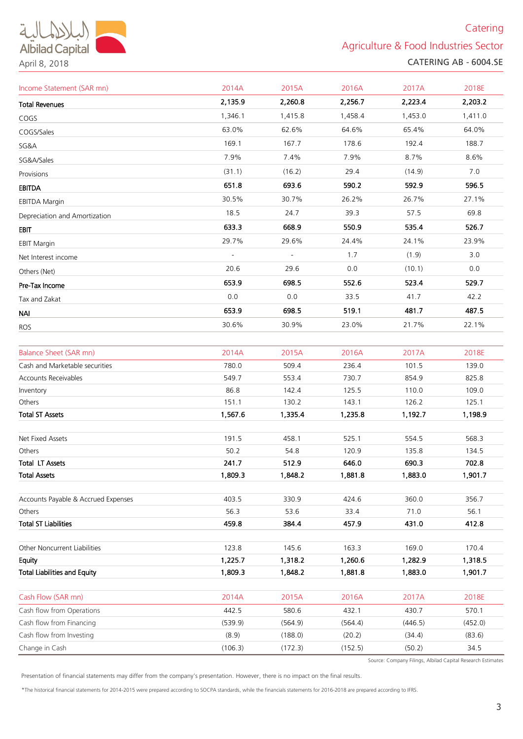### **Catering**

Agriculture & Food Industries Sector CATERING AB - 6004.SE

| Income Statement (SAR mn)           | 2014A          | 2015A          | 2016A          | 2017A          | 2018E          |
|-------------------------------------|----------------|----------------|----------------|----------------|----------------|
| <b>Total Revenues</b>               | 2,135.9        | 2,260.8        | 2,256.7        | 2,223.4        | 2,203.2        |
| COGS                                | 1,346.1        | 1,415.8        | 1,458.4        | 1,453.0        | 1,411.0        |
| COGS/Sales                          | 63.0%          | 62.6%          | 64.6%          | 65.4%          | 64.0%          |
| SG&A                                | 169.1          | 167.7          | 178.6          | 192.4          | 188.7          |
| SG&A/Sales                          | 7.9%           | 7.4%           | 7.9%           | 8.7%           | 8.6%           |
| Provisions                          | (31.1)         | (16.2)         | 29.4           | (14.9)         | 7.0            |
| EBITDA                              | 651.8          | 693.6          | 590.2          | 592.9          | 596.5          |
| <b>EBITDA Margin</b>                | 30.5%          | 30.7%          | 26.2%          | 26.7%          | 27.1%          |
| Depreciation and Amortization       | 18.5           | 24.7           | 39.3           | 57.5           | 69.8           |
| EBIT                                | 633.3          | 668.9          | 550.9          | 535.4          | 526.7          |
| <b>EBIT Margin</b>                  | 29.7%          | 29.6%          | 24.4%          | 24.1%          | 23.9%          |
| Net Interest income                 |                |                | 1.7            | (1.9)          | 3.0            |
| Others (Net)                        | 20.6           | 29.6           | 0.0            | (10.1)         | 0.0            |
| Pre-Tax Income                      | 653.9          | 698.5          | 552.6          | 523.4          | 529.7          |
| Tax and Zakat                       | 0.0            | 0.0            | 33.5           | 41.7           | 42.2           |
|                                     | 653.9          | 698.5          | 519.1          | 481.7          | 487.5          |
| NAI                                 | 30.6%          | 30.9%          | 23.0%          | 21.7%          | 22.1%          |
| ROS                                 |                |                |                |                |                |
| <b>Balance Sheet (SAR mn)</b>       | 2014A          | 2015A          | 2016A          | 2017A          | 2018E          |
| Cash and Marketable securities      | 780.0          | 509.4          | 236.4          | 101.5          | 139.0          |
| Accounts Receivables                | 549.7          | 553.4          | 730.7          | 854.9          | 825.8          |
| Inventory                           | 86.8           | 142.4          | 125.5          | 110.0          | 109.0          |
| Others                              | 151.1          | 130.2          | 143.1          | 126.2          | 125.1          |
| <b>Total ST Assets</b>              | 1,567.6        | 1,335.4        | 1,235.8        | 1,192.7        | 1,198.9        |
|                                     |                |                |                |                |                |
| Net Fixed Assets                    | 191.5          | 458.1          | 525.1          | 554.5          | 568.3          |
| Others                              | 50.2           | 54.8           | 120.9          | 135.8          | 134.5          |
| Total LT Assets                     | 241.7          | 512.9          | 646.0          | 690.3          | 702.8          |
| <b>Total Assets</b>                 | 1,809.3        | 1,848.2        | 1,881.8        | 1,883.0        | 1,901.7        |
| Accounts Payable & Accrued Expenses | 403.5          | 330.9          | 424.6          | 360.0          | 356.7          |
| Others                              | 56.3           | 53.6           | 33.4           | 71.0           | 56.1           |
| <b>Total ST Liabilities</b>         | 459.8          | 384.4          | 457.9          | 431.0          | 412.8          |
|                                     |                |                |                |                |                |
| Other Noncurrent Liabilities        | 123.8          | 145.6          | 163.3          | 169.0          | 170.4          |
| Equity                              | 1,225.7        | 1,318.2        | 1,260.6        | 1,282.9        | 1,318.5        |
| <b>Total Liabilities and Equity</b> | 1,809.3        | 1,848.2        | 1,881.8        | 1,883.0        | 1,901.7        |
| Cash Flow (SAR mn)                  |                |                |                |                |                |
| Cash flow from Operations           | 2014A<br>442.5 | 2015A<br>580.6 | 2016A<br>432.1 | 2017A<br>430.7 | 2018E<br>570.1 |
| Cash flow from Financing            | (539.9)        | (564.9)        | (564.4)        | (446.5)        | (452.0)        |
| Cash flow from Investing            | (8.9)          | (188.0)        | (20.2)         | (34.4)         | (83.6)         |
| Change in Cash                      | (106.3)        | (172.3)        | (152.5)        | (50.2)         | 34.5           |
|                                     |                |                |                |                |                |

Source: Company Filings, Albilad Capital Research Estimates

Presentation of financial statements may differ from the company's presentation. However, there is no impact on the final results.

April 8, 2018

\*The historical financial statements for 2015-2014 were prepared according to SOCPA standards, while the financials statements for 2013-2018 are prepared according to IFRS.